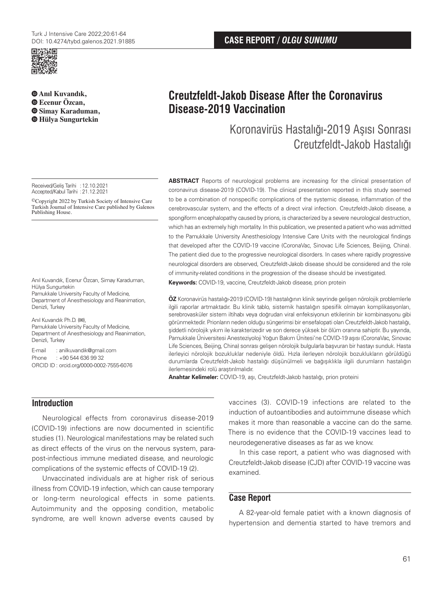

**Anıl Kuvandık, Ecenur Özcan, Simay Karaduman, Hülya Sungurtekin**

Received/Geliş Tarihi :12.10.2021 Accepted/Kabul Tarihi : 21.12.2021

©Copyright 2022 by Turkish Society of Intensive Care Turkish Journal of Intensive Care published by Galenos Publishing House.

Anıl Kuvandık, Ecenur Özcan, Simay Karaduman, Hülya Sungurtekin Pamukkale University Faculty of Medicine, Department of Anesthesiology and Reanimation, Denizli, Turkey

Anıl Kuvandık Ph.D. (**✉**), Pamukkale University Faculty of Medicine, Department of Anesthesiology and Reanimation, Denizli, Turkey

E-mail : anilkuvandik@gmail.com Phone : +90 544 636 99 32 ORCID ID : orcid.org/0000-0002-7555-6076

# **Creutzfeldt-Jakob Disease After the Coronavirus Disease-2019 Vaccination**

## Koronavirüs Hastalığı-2019 Aşısı Sonrası Creutzfeldt-Jakob Hastalığı

**ABSTRACT** Reports of neurological problems are increasing for the clinical presentation of coronavirus disease-2019 (COVID-19). The clinical presentation reported in this study seemed to be a combination of nonspecific complications of the systemic disease, inflammation of the cerebrovascular system, and the effects of a direct viral infection. Creutzfeldt-Jakob disease, a spongiform encephalopathy caused by prions, is characterized by a severe neurological destruction, which has an extremely high mortality. In this publication, we presented a patient who was admitted to the Pamukkale University Anesthesiology Intensive Care Units with the neurological findings that developed after the COVID-19 vaccine (CoronaVac, Sinovac Life Sciences, Beijing, China). The patient died due to the progressive neurological disorders. In cases where rapidly progressive neurological disorders are observed, Creutzfeldt-Jakob disease should be considered and the role of immunity-related conditions in the progression of the disease should be investigated.

**Keywords:** COVID-19, vaccine, Creutzfeldt-Jakob disease, prion protein

**ÖZ** Koronavirüs hastalığı-2019 (COVID-19) hastalığının klinik seyrinde gelişen nörolojik problemlerle ilgili raporlar artmaktadır. Bu klinik tablo, sistemik hastalığın spesifik olmayan komplikasyonları, serebrovasküler sistem iltihabı veya doğrudan viral enfeksiyonun etkilerinin bir kombinasyonu gibi görünmektedir. Prionların neden olduğu süngerimsi bir ensefalopati olan Creutzfeldt-Jakob hastalığı, şiddetli nörolojik yıkım ile karakterizedir ve son derece yüksek bir ölüm oranına sahiptir. Bu yayında, Pamukkale Üniversitesi Anesteziyoloji Yoğun Bakım Ünitesi'ne COVID-19 aşısı (CoronaVac, Sinovac Life Sciences, Beijing, China) sonrası gelişen nörolojik bulgularla başvuran bir hastayı sunduk. Hasta ilerleyici nörolojik bozukluklar nedeniyle öldü. Hızla ilerleyen nörolojik bozuklukların görüldüğü durumlarda Creutzfeldt-Jakob hastalığı düşünülmeli ve bağışıklıkla ilgili durumların hastalığın ilerlemesindeki rolü araştırılmalıdır.

**Anahtar Kelimeler:** COVID-19, aşı, Creutzfeldt-Jakob hastalığı, prion proteini

**Introduction**

Neurological effects from coronavirus disease-2019 (COVID-19) infections are now documented in scientific studies (1). Neurological manifestations may be related such as direct effects of the virus on the nervous system, parapost-infectious immune mediated disease, and neurologic complications of the systemic effects of COVID-19 (2).

Unvaccinated individuals are at higher risk of serious illness from COVID-19 infection, which can cause temporary or long-term neurological effects in some patients. Autoimmunity and the opposing condition, metabolic syndrome, are well known adverse events caused by

vaccines (3). COVID-19 infections are related to the induction of autoantibodies and autoimmune disease which makes it more than reasonable a vaccine can do the same. There is no evidence that the COVID-19 vaccines lead to neurodegenerative diseases as far as we know.

In this case report, a patient who was diagnosed with Creutzfeldt-Jakob disease (CJD) after COVID-19 vaccine was examined.

## **Case Report**

A 82-year-old female patiet with a known diagnosis of hypertension and dementia started to have tremors and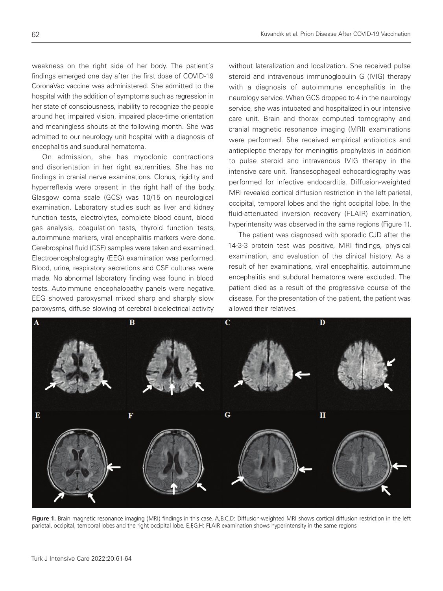weakness on the right side of her body. The patient's findings emerged one day after the first dose of COVID-19 CoronaVac vaccine was administered. She admitted to the hospital with the addition of symptoms such as regression in her state of consciousness, inability to recognize the people around her, impaired vision, impaired place-time orientation and meaningless shouts at the following month. She was admitted to our neurology unit hospital with a diagnosis of encephalitis and subdural hematoma.

On admission, she has myoclonic contractions and disorientation in her right extremities. She has no findings in cranial nerve examinations. Clonus, rigidity and hyperreflexia were present in the right half of the body. Glasgow coma scale (GCS) was 10/15 on neurological examination. Laboratory studies such as liver and kidney function tests, electrolytes, complete blood count, blood gas analysis, coagulation tests, thyroid function tests, autoimmune markers, viral encephalitis markers were done. Cerebrospinal fluid (CSF) samples were taken and examined. Electroencephalograghy (EEG) examination was performed. Blood, urine, respiratory secretions and CSF cultures were made. No abnormal laboratory finding was found in blood tests. Autoimmune encephalopathy panels were negative. EEG showed paroxysmal mixed sharp and sharply slow paroxysms, diffuse slowing of cerebral bioelectrical activity

without lateralization and localization. She received pulse steroid and intravenous immunoglobulin G (IVIG) therapy with a diagnosis of autoimmune encephalitis in the neurology service. When GCS dropped to 4 in the neurology service, she was intubated and hospitalized in our intensive care unit. Brain and thorax computed tomography and cranial magnetic resonance imaging (MRI) examinations were performed. She received empirical antibiotics and antiepileptic therapy for meningitis prophylaxis in addition to pulse steroid and intravenous IVIG therapy in the intensive care unit. Transesophageal echocardiography was performed for infective endocarditis. Diffusion-weighted MRI revealed cortical diffusion restriction in the left parietal, occipital, temporal lobes and the right occipital lobe. In the fluid-attenuated inversion recovery (FLAIR) examination, hyperintensity was observed in the same regions (Figure 1).

The patient was diagnosed with sporadic CJD after the 14-3-3 protein test was positive, MRI findings, physical examination, and evaluation of the clinical history. As a result of her examinations, viral encephalitis, autoimmune encephalitis and subdural hematoma were excluded. The patient died as a result of the progressive course of the disease. For the presentation of the patient, the patient was allowed their relatives.



Figure 1. Brain magnetic resonance imaging (MRI) findings in this case. A,B,C,D: Diffusion-weighted MRI shows cortical diffusion restriction in the left parietal, occipital, temporal lobes and the right occipital lobe. E,F,G,H: FLAIR examination shows hyperintensity in the same regions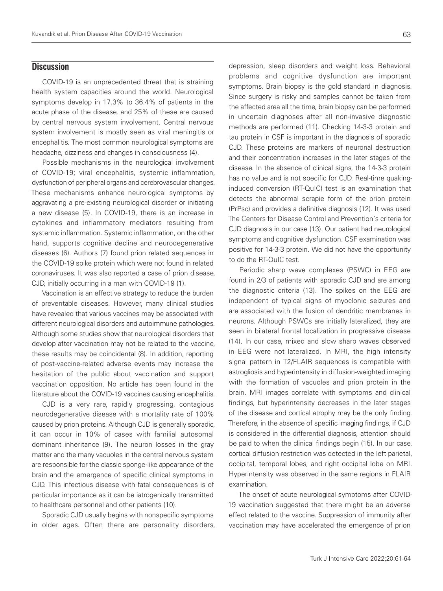### **Discussion**

COVID-19 is an unprecedented threat that is straining health system capacities around the world. Neurological symptoms develop in 17.3% to 36.4% of patients in the acute phase of the disease, and 25% of these are caused by central nervous system involvement. Central nervous system involvement is mostly seen as viral meningitis or encephalitis. The most common neurological symptoms are headache, dizziness and changes in consciousness (4).

Possible mechanisms in the neurological involvement of COVID-19; viral encephalitis, systemic inflammation, dysfunction of peripheral organs and cerebrovascular changes. These mechanisms enhance neurological symptoms by aggravating a pre-existing neurological disorder or initiating a new disease (5). In COVID-19, there is an increase in cytokines and inflammatory mediators resulting from systemic inflammation. Systemic inflammation, on the other hand, supports cognitive decline and neurodegenerative diseases (6). Authors (7) found prion related sequences in the COVID-19 spike protein which were not found in related coronaviruses. It was also reported a case of prion disease, CJD, initially occurring in a man with COVID-19 (1).

Vaccination is an effective strategy to reduce the burden of preventable diseases. However, many clinical studies have revealed that various vaccines may be associated with different neurological disorders and autoimmune pathologies. Although some studies show that neurological disorders that develop after vaccination may not be related to the vaccine, these results may be coincidental (8). In addition, reporting of post-vaccine-related adverse events may increase the hesitation of the public about vaccination and support vaccination opposition. No article has been found in the literature about the COVID-19 vaccines causing encephalitis.

CJD is a very rare, rapidly progressing, contagious neurodegenerative disease with a mortality rate of 100% caused by prion proteins. Although CJD is generally sporadic, it can occur in 10% of cases with familial autosomal dominant inheritance (9). The neuron losses in the gray matter and the many vacuoles in the central nervous system are responsible for the classic sponge-like appearance of the brain and the emergence of specific clinical symptoms in CJD. This infectious disease with fatal consequences is of particular importance as it can be iatrogenically transmitted to healthcare personnel and other patients (10).

Sporadic CJD usually begins with nonspecific symptoms in older ages. Often there are personality disorders,

depression, sleep disorders and weight loss. Behavioral problems and cognitive dysfunction are important symptoms. Brain biopsy is the gold standard in diagnosis. Since surgery is risky and samples cannot be taken from the affected area all the time, brain biopsy can be performed in uncertain diagnoses after all non-invasive diagnostic methods are performed (11). Checking 14-3-3 protein and tau protein in CSF is important in the diagnosis of sporadic CJD. These proteins are markers of neuronal destruction and their concentration increases in the later stages of the disease. In the absence of clinical signs, the 14-3-3 protein has no value and is not specific for CJD. Real-time quakinginduced conversion (RT-QuIC) test is an examination that detects the abnormal scrapie form of the prion protein (PrPsc) and provides a definitive diagnosis (12). It was used The Centers for Disease Control and Prevention's criteria for CJD diagnosis in our case (13). Our patient had neurological symptoms and cognitive dysfunction. CSF examination was positive for 14-3-3 protein. We did not have the opportunity to do the RT-QuIC test.

Periodic sharp wave complexes (PSWC) in EEG are found in 2/3 of patients with sporadic CJD and are among the diagnostic criteria (13). The spikes on the EEG are independent of typical signs of myoclonic seizures and are associated with the fusion of dendritic membranes in neurons. Although PSWCs are initially lateralized, they are seen in bilateral frontal localization in progressive disease (14). In our case, mixed and slow sharp waves observed in EEG were not lateralized. In MRI, the high intensity signal pattern in T2/FLAIR sequences is compatible with astrogliosis and hyperintensity in diffusion-weighted imaging with the formation of vacuoles and prion protein in the brain. MRI images correlate with symptoms and clinical findings, but hyperintensity decreases in the later stages of the disease and cortical atrophy may be the only finding. Therefore, in the absence of specific imaging findings, if CJD is considered in the differential diagnosis, attention should be paid to when the clinical findings begin (15). In our case, cortical diffusion restriction was detected in the left parietal, occipital, temporal lobes, and right occipital lobe on MRI. Hyperintensity was observed in the same regions in FLAIR examination.

The onset of acute neurological symptoms after COVID-19 vaccination suggested that there might be an adverse effect related to the vaccine. Suppression of immunity after vaccination may have accelerated the emergence of prion